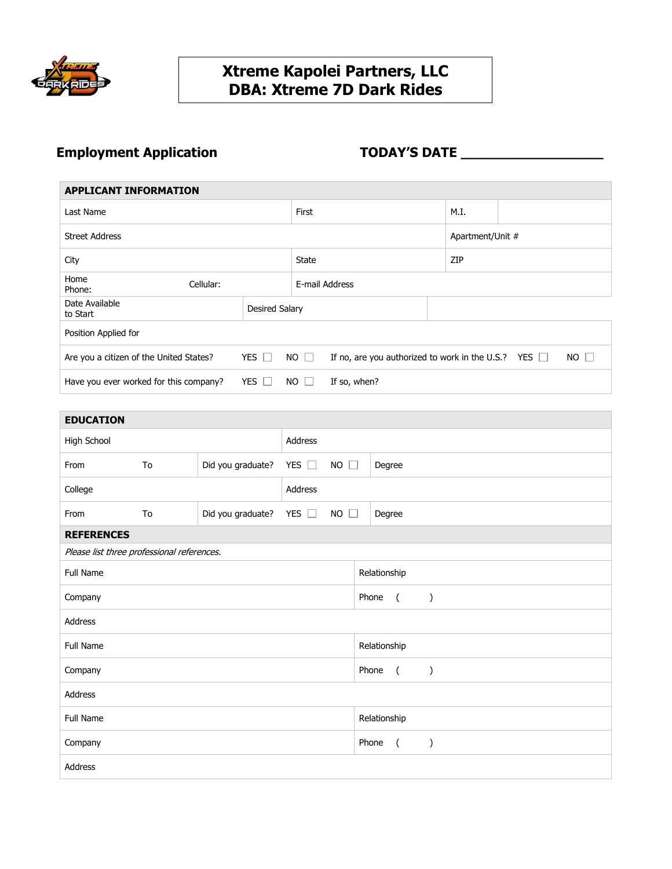

### **Xtreme Kapolei Partners, LLC DBA: Xtreme 7D Dark Rides**

# **Employment Application TODAY'S DATE \_\_\_\_\_\_\_\_\_\_\_\_\_\_\_\_\_**

| <b>APPLICANT INFORMATION</b>            |                       |                                                                                     |              |      |                  |  |  |  |
|-----------------------------------------|-----------------------|-------------------------------------------------------------------------------------|--------------|------|------------------|--|--|--|
| Last Name                               |                       |                                                                                     |              | M.I. |                  |  |  |  |
| <b>Street Address</b>                   |                       |                                                                                     |              |      | Apartment/Unit # |  |  |  |
| City                                    |                       |                                                                                     |              | ZIP  |                  |  |  |  |
| Home<br>Cellular:<br>Phone:             |                       | E-mail Address                                                                      |              |      |                  |  |  |  |
| Date Available<br>to Start              | <b>Desired Salary</b> |                                                                                     |              |      |                  |  |  |  |
| Position Applied for                    |                       |                                                                                     |              |      |                  |  |  |  |
| Are you a citizen of the United States? | YES $\Box$            | $NO \Box$<br>$NO \Box$<br>If no, are you authorized to work in the U.S.? YES $\Box$ |              |      |                  |  |  |  |
| Have you ever worked for this company?  | YES $\Box$            | NO I                                                                                | If so, when? |      |                  |  |  |  |

| <b>EDUCATION</b>                           |    |                   |               |                     |              |                |               |
|--------------------------------------------|----|-------------------|---------------|---------------------|--------------|----------------|---------------|
| High School                                |    | Address           |               |                     |              |                |               |
| From                                       | To | Did you graduate? | YES $\Box$    | <b>NO</b><br>$\Box$ | Degree       |                |               |
| College                                    |    |                   | Address       |                     |              |                |               |
| From                                       | To | Did you graduate? | YES $\square$ | <b>NO</b><br>П      | Degree       |                |               |
| <b>REFERENCES</b>                          |    |                   |               |                     |              |                |               |
| Please list three professional references. |    |                   |               |                     |              |                |               |
| <b>Full Name</b>                           |    |                   |               |                     | Relationship |                |               |
| Company                                    |    |                   |               |                     | Phone        | $\overline{ }$ | $\lambda$     |
| Address                                    |    |                   |               |                     |              |                |               |
| <b>Full Name</b>                           |    |                   |               |                     | Relationship |                |               |
| Company                                    |    |                   |               |                     | Phone        | $\overline{a}$ | $\mathcal{C}$ |
| Address                                    |    |                   |               |                     |              |                |               |
| Full Name                                  |    |                   |               |                     | Relationship |                |               |
| Company                                    |    |                   |               |                     | Phone        | $\overline{a}$ | $\mathcal{E}$ |
| Address                                    |    |                   |               |                     |              |                |               |